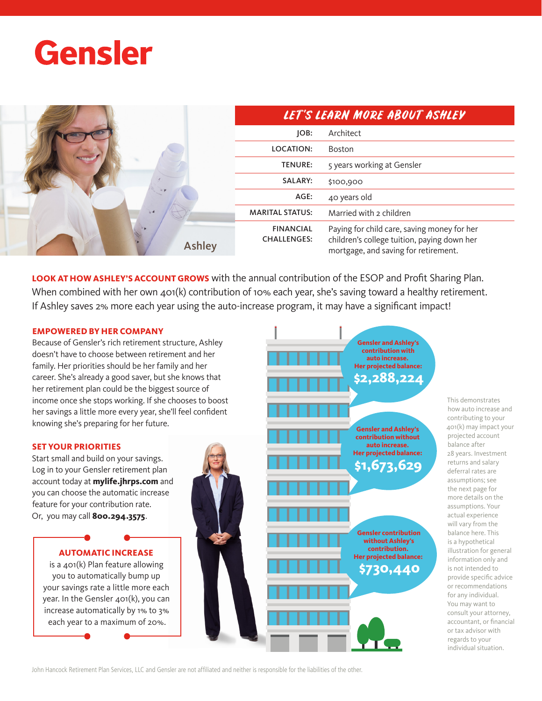# **Gensler**

|               | LET'S LEARN MORE ABOUT ASHLEY          |                                                                                                                                    |
|---------------|----------------------------------------|------------------------------------------------------------------------------------------------------------------------------------|
|               | JOB:                                   | Architect                                                                                                                          |
|               | LOCATION:                              | Boston                                                                                                                             |
|               | <b>TENURE:</b>                         | 5 years working at Gensler                                                                                                         |
|               | <b>SALARY:</b>                         | \$100,900                                                                                                                          |
|               | AGE:                                   | 40 years old                                                                                                                       |
|               | <b>MARITAL STATUS:</b>                 | Married with 2 children                                                                                                            |
| <b>Ashley</b> | <b>FINANCIAL</b><br><b>CHALLENGES:</b> | Paying for child care, saving money for her<br>children's college tuition, paying down her<br>mortgage, and saving for retirement. |

**LOOK AT HOW ASHLEY'S ACCOUNT GROWS** with the annual contribution of the ESOP and Profit Sharing Plan. When combined with her own 401(k) contribution of 10% each year, she's saving toward a healthy retirement. If Ashley saves 2% more each year using the auto-increase program, it may have a significant impact!

## **EMPOWERED BY HER COMPANY**

Because of Gensler's rich retirement structure, Ashley doesn't have to choose between retirement and her family. Her priorities should be her family and her career. She's already a good saver, but she knows that her retirement plan could be the biggest source of income once she stops working. If she chooses to boost her savings a little more every year, she'll feel confident knowing she's preparing for her future.

#### **SET YOUR PRIORITIES**

Start small and build on your savings. Log in to your Gensler retirement plan account today at **mylife.jhrps.com** and you can choose the automatic increase feature for your contribution rate. Or, you may call **800.294.3575**.

# **AUTOMATIC INCREASE**

is a 401(k) Plan feature allowing you to automatically bump up your savings rate a little more each year. In the Gensler 401(k), you can increase automatically by 1% to 3% each year to a maximum of 20%.



This demonstrates how auto increase and contributing to your 401(k) may impact your projected account balance after 28 years. Investment returns and salary deferral rates are assumptions; see the next page for more details on the assumptions. Your actual experience will vary from the balance here. This is a hypothetical illustration for general information only and is not intended to provide specific advice or recommendations for any individual. You may want to consult your attorney, accountant, or financial or tax advisor with regards to your individual situation.